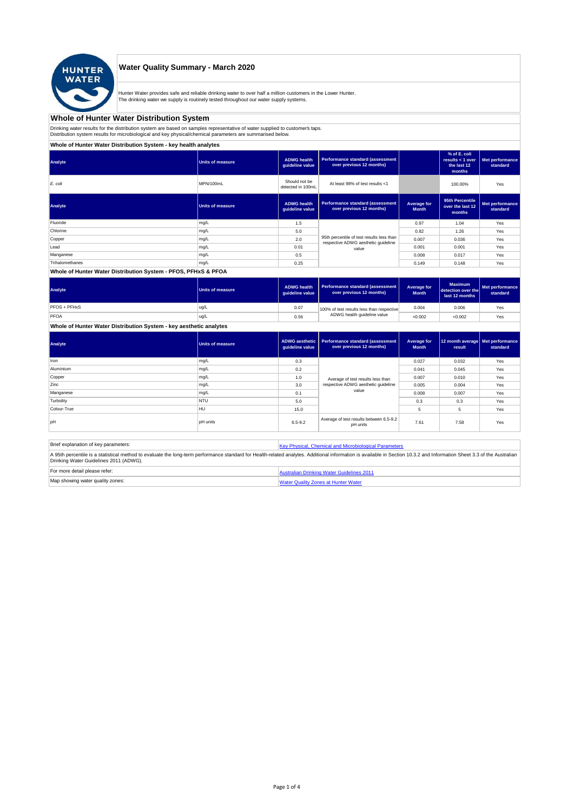

## **Water Quality Summary - March 2020**

Hunter Water provides safe and reliable drinking water to over half a million customers in the Lower Hunter. The drinking water we supply is routinely tested throughout our water supply systems.

# **Whole of Hunter Water Distribution System**

Drinking water results for the distribution system are based on samples representative of water supplied to customer' taps.<br>Distribution system results for microbiological and key physical/chemical parameters are summarise

**Whole of Hunter Water Distribution System - key health analytes**

| Analyte         | <b>Units of measure</b> | <b>ADWG</b> health<br>guideline value | Performance standard (assessment<br>over previous 12 months)                     |                             | % of E. coli<br>results < 1 over<br>the last 12<br>months | Met performance<br>standard |
|-----------------|-------------------------|---------------------------------------|----------------------------------------------------------------------------------|-----------------------------|-----------------------------------------------------------|-----------------------------|
| E. coli         | MPN/100mL               | Should not be<br>detected in 100mL    | At least 98% of test results <1                                                  |                             | 100.00%                                                   | Yes                         |
| Analyte         | <b>Units of measure</b> | <b>ADWG</b> health<br>guideline value | Performance standard (assessment<br>over previous 12 months)                     | Average for<br><b>Month</b> | 95th Percentile<br>over the last 12<br>months             | Met performance<br>standard |
| Fluoride        | mg/L                    | 1.5                                   |                                                                                  | 0.97                        | 1.04                                                      | Yes                         |
| Chlorine        | mg/L                    | 5.0                                   |                                                                                  | 0.82                        | 1.26                                                      | Yes                         |
| Copper          | mg/L                    | 2.0                                   | 95th percentile of test results less than<br>respective ADWG aesthetic quideline | 0.007                       | 0.036                                                     | Yes                         |
| Lead            | mg/L                    | 0.01                                  | value                                                                            | 0.001                       | 0.001                                                     | Yes                         |
| Manganese       | mg/L                    | 0.5                                   |                                                                                  | 0.008                       | 0.017                                                     | Yes                         |
| Trihalomethanes | mg/L                    | 0.25                                  |                                                                                  | 0.149                       | 0.148                                                     | Yes                         |
|                 |                         |                                       |                                                                                  |                             |                                                           |                             |

#### **Whole of Hunter Water Distribution System - PFOS, PFHxS & PFOA**

| Analyte      | <b>Units of measure</b> | <b>ADWG health</b><br>quideline value | Performance standard (assessment<br>over previous 12 months) | Average for<br><b>Month</b> | <b>Maximum</b><br>detection over the<br>last 12 months | Met performance<br>standard |
|--------------|-------------------------|---------------------------------------|--------------------------------------------------------------|-----------------------------|--------------------------------------------------------|-----------------------------|
| PFOS + PFHxS | ug/L                    | 0.07                                  | 100% of test results less than respective                    | 0.004                       | 0.006                                                  | Yes                         |
| PFOA         | ug/L                    | 0.56                                  | ADWG health guideline value                                  | < 0.002                     | < 0.002                                                | Yes                         |

### **Whole of Hunter Water Distribution System - key aesthetic analytes**

| Analyte     | Units of measure | guideline value | ADWG aesthetic   Performance standard (assessment<br>over previous 12 months) | Average for<br><b>Month</b> | 12 month average   Met performance<br>result | standard |
|-------------|------------------|-----------------|-------------------------------------------------------------------------------|-----------------------------|----------------------------------------------|----------|
| Iron        | mg/L             | 0.3             |                                                                               | 0.027                       | 0.032                                        | Yes      |
| Aluminium   | mg/L             | 0.2             |                                                                               | 0.041                       | 0.045                                        | Yes      |
| Copper      | mg/L             | 1.0             | Average of test results less than<br>respective ADWG aesthetic quideline      | 0.007                       | 0.010                                        | Yes      |
| Zinc        | mg/L             | 3.0             |                                                                               | 0.005                       | 0.004                                        | Yes      |
| Manganese   | mg/L             | 0.1             | value                                                                         | 0.008                       | 0.007                                        | Yes      |
| Turbidity   | <b>NTU</b>       | 5.0             |                                                                               | 0.3                         | 0.3                                          | Yes      |
| Colour-True | <b>HU</b>        | 15.0            |                                                                               | 5                           | 5                                            | Yes      |
| loH         | <b>pH</b> units  | $6.5 - 9.2$     | Average of test results between 6.5-9.2<br>pH units                           | 7.61                        | 7.58                                         | Yes      |

| Brief explanation of key parameters:   | Key Physical, Chemical and Microbiological Parameters                                                                                                                                                                   |
|----------------------------------------|-------------------------------------------------------------------------------------------------------------------------------------------------------------------------------------------------------------------------|
| Drinking Water Guidelines 2011 (ADWG). | A 95th percentile is a statistical method to evaluate the long-term performance standard for Health-related analytes. Additional information is available in Section 10.3.2 and Information Sheet 3.3 of the Australian |
| For more detail please refer:          | Australian Drinking Water Guidelines 2011                                                                                                                                                                               |
| Map showing water quality zones:       | <b>Water Quality Zones at Hunter Water</b>                                                                                                                                                                              |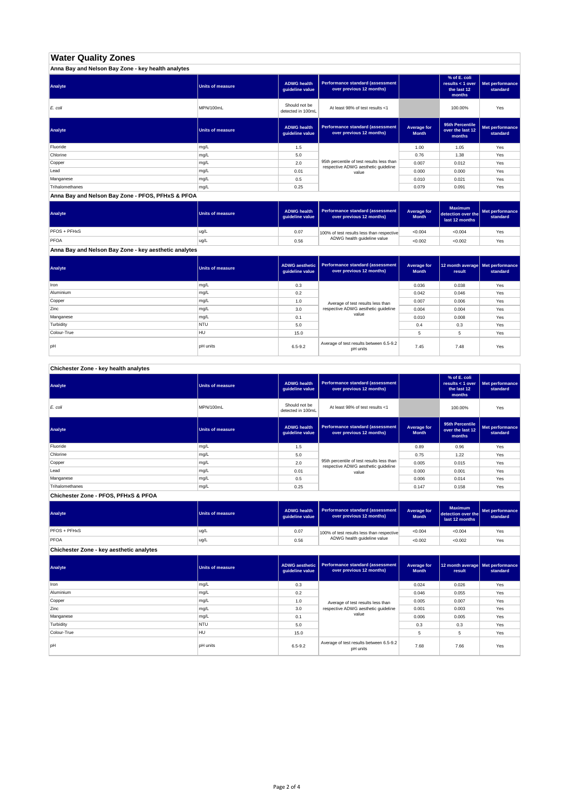# **Water Quality Zones**

| Anna Bay and Nelson Bay Zone - key health analytes |                  |                                       |                                                                                  |                             |                                                           |                             |
|----------------------------------------------------|------------------|---------------------------------------|----------------------------------------------------------------------------------|-----------------------------|-----------------------------------------------------------|-----------------------------|
| Analyte                                            | Units of measure | <b>ADWG health</b><br>guideline value | Performance standard (assessment<br>over previous 12 months)                     |                             | % of E. coli<br>results < 1 over<br>the last 12<br>months | Met performance<br>standard |
| E. coli                                            | MPN/100mL        | Should not be<br>detected in 100mL    | At least 98% of test results <1                                                  |                             | 100.00%                                                   | Yes                         |
| Analyte                                            | Units of measure | <b>ADWG health</b><br>guideline value | Performance standard (assessment<br>over previous 12 months)                     | Average for<br><b>Month</b> | 95th Percentile<br>over the last 12<br>months             | Met performance<br>standard |
| Fluoride                                           | mg/L             | 1.5                                   |                                                                                  | 1.00                        | 1.05                                                      | Yes                         |
| Chlorine                                           | mg/L             | 5.0                                   |                                                                                  | 0.76                        | 1.38                                                      | Yes                         |
| Copper                                             | mg/L             | 2.0                                   | 95th percentile of test results less than<br>respective ADWG aesthetic quideline | 0.007                       | 0.012                                                     | Yes                         |
| Lead                                               | mg/L             | 0.01                                  | value                                                                            | 0.000                       | 0.000                                                     | Yes                         |
| Manganese                                          | mg/L             | 0.5                                   |                                                                                  | 0.010                       | 0.021                                                     | Yes                         |
| Trihalomethanes                                    | mg/L             | 0.25                                  |                                                                                  | 0.079                       | 0.091                                                     | Yes                         |

**Anna Bay and Nelson Bay Zone - PFOS, PFHxS & PFOA**

| Analyte      | <b>Units of measure</b> | <b>ADWG health</b><br>quideline value | Performance standard (assessment<br>over previous 12 months) | Average for<br><b>Month</b> | <b>Maximum</b><br>detection over the Met performance<br>last 12 months | standard |
|--------------|-------------------------|---------------------------------------|--------------------------------------------------------------|-----------------------------|------------------------------------------------------------------------|----------|
| PFOS + PFHxS | ug/L                    | 0.07                                  | 100% of test results less than respective                    | < 0.004                     | < 0.004                                                                | Yes      |
| PFOA         | ug/L                    | 0.56                                  | ADWG health quideline value                                  | < 0.002                     | < 0.002                                                                | Yes      |

**Anna Bay and Nelson Bay Zone - key aesthetic analytes**

| Analyte     | Units of measure | ADWG aesthetic  <br>guideline value | Performance standard (assessment<br>over previous 12 months) | Average for<br><b>Month</b> | 12 month average   Met performance<br>result | standard |
|-------------|------------------|-------------------------------------|--------------------------------------------------------------|-----------------------------|----------------------------------------------|----------|
| Iron        | mg/L             | 0.3                                 |                                                              | 0.036                       | 0.038                                        | Yes      |
| Aluminium   | mg/L             | 0.2                                 |                                                              | 0.042                       | 0.046                                        | Yes      |
| Copper      | mg/L             | 1.0                                 | Average of test results less than                            | 0.007                       | 0.006                                        | Yes      |
| Zinc        | mg/L             | 3.0                                 | respective ADWG aesthetic quideline                          | 0.004                       | 0.004                                        | Yes      |
| Manganese   | mg/L             | 0.1                                 | value                                                        | 0.010                       | 0.008                                        | Yes      |
| Turbidity   | <b>NTU</b>       | 5.0                                 |                                                              | 0.4                         | 0.3                                          | Yes      |
| Colour-True | HU               | 15.0                                |                                                              |                             | 5                                            | Yes      |
| pH          | <b>pH</b> units  | $6.5 - 9.2$                         | Average of test results between 6.5-9.2<br>pH units          | 7.45                        | 7.48                                         | Yes      |

**Chichester Zone - key health analytes**

| Analyte         | <b>Units of measure</b> | <b>ADWG health</b><br>guideline value | Performance standard (assessment<br>over previous 12 months)                     |                             | % of E. coli<br>results $<$ 1 over<br>the last 12<br>months | Met performance<br>standard |
|-----------------|-------------------------|---------------------------------------|----------------------------------------------------------------------------------|-----------------------------|-------------------------------------------------------------|-----------------------------|
| E. coli         | MPN/100mL               | Should not be<br>detected in 100mL    | At least 98% of test results <1                                                  |                             | 100.00%                                                     | Yes                         |
| Analyte         | <b>Units of measure</b> | <b>ADWG health</b><br>guideline value | Performance standard (assessment<br>over previous 12 months)                     | Average for<br><b>Month</b> | 95th Percentile<br>over the last 12<br>months               | Met performance<br>standard |
| Fluoride        | mg/L                    | 1.5                                   |                                                                                  | 0.89                        | 0.96                                                        | Yes                         |
| Chlorine        | mg/L                    | 5.0                                   |                                                                                  | 0.75                        | 1.22                                                        | Yes                         |
| Copper          | mg/L                    | 2.0                                   | 95th percentile of test results less than<br>respective ADWG aesthetic quideline | 0.005                       | 0.015                                                       | Yes                         |
| Lead            | mg/L                    | 0.01                                  | value                                                                            | 0.000                       | 0.001                                                       | Yes                         |
| Manganese       | mg/L                    | 0.5                                   |                                                                                  | 0.006                       | 0.014                                                       | Yes                         |
| Trihalomethanes | mg/L                    | 0.25                                  |                                                                                  | 0.147                       | 0.158                                                       | Yes                         |

**Chichester Zone - PFOS, PFHxS & PFOA**

| Analyte                                  | Units of measure | <b>ADWG health</b><br>guideline value | <b>Performance standard (assessment</b><br>over previous 12 months) | Average for<br><b>Month</b> | <b>Maximum</b><br>detection over the<br>last 12 months | Met performance<br>standard |
|------------------------------------------|------------------|---------------------------------------|---------------------------------------------------------------------|-----------------------------|--------------------------------------------------------|-----------------------------|
| PFOS + PFHxS                             | ug/L             | 0.07                                  | 100% of test results less than respective                           | < 0.004                     | < 0.004                                                | Yes                         |
| PFOA                                     | ug/L             | 0.56                                  | ADWG health guideline value                                         | < 0.002                     | < 0.002                                                | Yes                         |
| Chichester Zone - key aesthetic analytes |                  |                                       |                                                                     |                             |                                                        |                             |

| Analyte     | <b>Units of measure</b> | ADWG aesthetic<br>guideline value | Performance standard (assessment<br>over previous 12 months) | Average for<br><b>Month</b> | 12 month average Met performance<br>result | standard |
|-------------|-------------------------|-----------------------------------|--------------------------------------------------------------|-----------------------------|--------------------------------------------|----------|
| Iron        | mg/L                    | 0.3                               |                                                              | 0.024                       | 0.026                                      | Yes      |
| Aluminium   | mg/L                    | 0.2                               |                                                              | 0.046                       | 0.055                                      | Yes      |
| Copper      | mg/L                    | 1.0                               | Average of test results less than                            | 0.005                       | 0.007                                      | Yes      |
| Zinc        | mg/L                    | 3.0                               | respective ADWG aesthetic quideline                          | 0.001                       | 0.003                                      | Yes      |
| Manganese   | mg/L                    | 0.1                               | value                                                        | 0.006                       | 0.005                                      | Yes      |
| Turbidity   | <b>NTU</b>              | 5.0                               |                                                              | 0.3                         | 0.3                                        | Yes      |
| Colour-True | <b>HU</b>               | 15.0                              |                                                              | 5                           | 5                                          | Yes      |
| pH          | <b>pH</b> units         | $6.5 - 9.2$                       | Average of test results between 6.5-9.2<br>pH units          | 7.68                        | 7.66                                       | Yes      |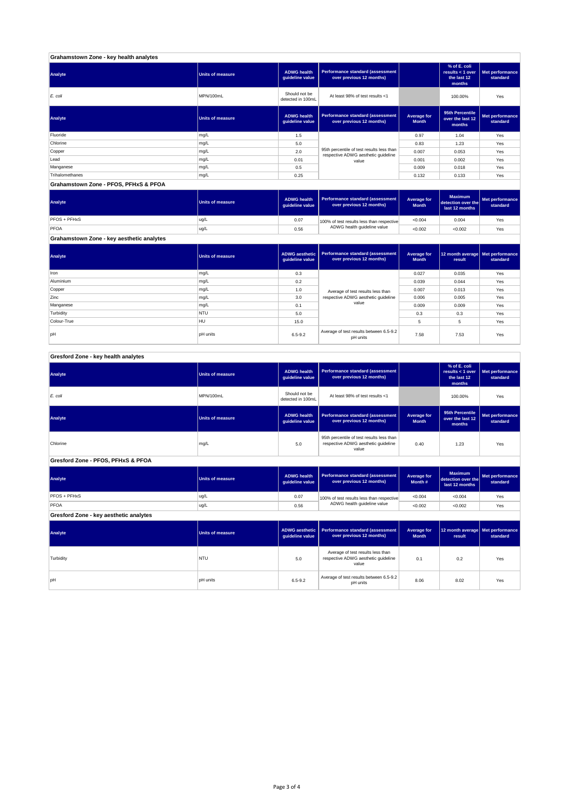| Grahamstown Zone - key health analytes |                         |                                       |                                                                                  |                             |                                                           |                             |
|----------------------------------------|-------------------------|---------------------------------------|----------------------------------------------------------------------------------|-----------------------------|-----------------------------------------------------------|-----------------------------|
| Analyte                                | <b>Units of measure</b> | <b>ADWG health</b><br>guideline value | Performance standard (assessment<br>over previous 12 months)                     |                             | % of E. coli<br>results < 1 over<br>the last 12<br>months | Met performance<br>standard |
| E. coli                                | MPN/100mL               | Should not be<br>detected in 100mL    | At least 98% of test results <1                                                  |                             | 100.00%                                                   | Yes                         |
| Analyte                                | <b>Units of measure</b> | <b>ADWG health</b><br>guideline value | Performance standard (assessment<br>over previous 12 months)                     | Average for<br><b>Month</b> | 95th Percentile<br>over the last 12<br>months             | Met performance<br>standard |
| Fluoride                               | mg/L                    | 1.5                                   |                                                                                  | 0.97                        | 1.04                                                      | Yes                         |
| Chlorine                               | mg/L                    | 5.0                                   |                                                                                  | 0.83                        | 1.23                                                      | Yes                         |
| Copper                                 | mg/L                    | 2.0                                   | 95th percentile of test results less than<br>respective ADWG aesthetic quideline | 0.007                       | 0.053                                                     | Yes                         |
| Lead                                   | mg/L                    | 0.01                                  | value                                                                            | 0.001                       | 0.002                                                     | Yes                         |
| Manganese                              | mg/L                    | 0.5                                   |                                                                                  | 0.009                       | 0.018                                                     | Yes                         |
| Trihalomethanes                        | mg/L                    | 0.25                                  |                                                                                  | 0.132                       | 0.133                                                     | Yes                         |
| Grahamstown Zone - PFOS, PFHxS & PFOA  |                         |                                       |                                                                                  |                             |                                                           |                             |

| Analyte                                   | <b>Units of measure</b> | <b>ADWG health</b><br>quideline value | Performance standard (assessment<br>over previous 12 months) | Average for<br><b>Month</b> | <b>Maximum</b><br>detection over the<br>last 12 months | Met performance<br>standard |
|-------------------------------------------|-------------------------|---------------------------------------|--------------------------------------------------------------|-----------------------------|--------------------------------------------------------|-----------------------------|
| <b>PFOS + PFHxS</b>                       | ug/L                    | 0.07                                  | 100% of test results less than respective                    | < 0.004                     | 0.004                                                  | Yes                         |
| PFOA                                      | ug/L                    | 0.56                                  | ADWG health guideline value                                  | < 0.002                     | < 0.002                                                | Yes                         |
| Grahamstown Zone - key aesthetic analytes |                         |                                       |                                                              |                             |                                                        |                             |

**ADWG aesthetic** 

**Analyte Units of measure Performance standard (assessment** 

**Average for** 

| Analyte     | Units of measure | guideline value                            | ADWG aesthetic   Performance standard (assessment  <br>over previous 12 months) | Average for<br><b>Month</b> | 12 month average   Met performance<br>result | standard |
|-------------|------------------|--------------------------------------------|---------------------------------------------------------------------------------|-----------------------------|----------------------------------------------|----------|
| Iron        | mg/L             | 0.3                                        |                                                                                 | 0.027                       | 0.035                                        | Yes      |
| Aluminium   | mg/L             | 0.2                                        |                                                                                 | 0.039                       | 0.044                                        | Yes      |
| Copper      | mg/L             | 1.0                                        | Average of test results less than                                               | 0.007                       | 0.013                                        | Yes      |
| Zinc        | mg/L             | respective ADWG aesthetic quideline<br>3.0 |                                                                                 | 0.006                       | 0.005                                        | Yes      |
| Manganese   | mg/L             | 0.1                                        | value                                                                           | 0.009                       | 0.009                                        | Yes      |
| Turbidity   | <b>NTU</b>       | 5.0                                        |                                                                                 | 0.3                         | 0.3                                          | Yes      |
| Colour-True | HU               | 15.0                                       |                                                                                 | 5                           | 5                                            | Yes      |
| pH          | <b>pH</b> units  | $6.5 - 9.2$                                | Average of test results between 6.5-9.2<br>pH units                             | 7.58                        | 7.53                                         | Yes      |

| Gresford Zone - key health analytes |  |  |  |
|-------------------------------------|--|--|--|

| Analyte                                | <b>Units of measure</b> | <b>ADWG</b> health<br>guideline value    | <b>Performance standard (assessment</b><br>over previous 12 months)                                |                                    | % of E. coli<br>results < 1 over<br>the last 12<br>months | Met performance<br>standard |
|----------------------------------------|-------------------------|------------------------------------------|----------------------------------------------------------------------------------------------------|------------------------------------|-----------------------------------------------------------|-----------------------------|
| $E$ . coli                             | MPN/100mL               | Should not be<br>detected in 100mL       | At least 98% of test results <1                                                                    |                                    | 100.00%                                                   | Yes                         |
| Analyte                                | <b>Units of measure</b> | <b>ADWG health</b><br>guideline value    | Performance standard (assessment<br>over previous 12 months)                                       | <b>Average for</b><br><b>Month</b> | 95th Percentile<br>over the last 12<br>months             | Met performance<br>standard |
| Chlorine                               | mg/L                    | 5.0                                      | 95th percentile of test results less than<br>respective ADWG aesthetic quideline<br>0.40<br>value  |                                    | 1.23                                                      | Yes                         |
| Gresford Zone - PFOS, PFHxS & PFOA     |                         |                                          |                                                                                                    |                                    |                                                           |                             |
| Analyte                                | <b>Units of measure</b> | <b>ADWG</b> health<br>guideline value    | Performance standard (assessment<br>over previous 12 months)                                       | <b>Average for</b><br>Month #      | <b>Maximum</b><br>detection over the<br>last 12 months    | Met performance<br>standard |
| PFOS + PFHxS                           | ug/L                    | 0.07                                     | 100% of test results less than respective                                                          | < 0.004                            | < 0.004                                                   | Yes                         |
| PFOA                                   | ug/L                    | 0.56                                     | ADWG health guideline value                                                                        | < 0.002                            | < 0.002                                                   | Yes                         |
| Gresford Zone - key aesthetic analytes |                         |                                          |                                                                                                    |                                    |                                                           |                             |
| Analyte                                | <b>Units of measure</b> | <b>ADWG aesthetic</b><br>guideline value | Performance standard (assessment<br><b>Average for</b><br>over previous 12 months)<br><b>Month</b> |                                    | 12 month average<br>result                                | Met performance<br>standard |
| Turbidity                              | <b>NTU</b>              | 5.0                                      | Average of test results less than<br>respective ADWG aesthetic guideline<br>value                  | 0.1                                | 0.2                                                       | Yes                         |
| pH                                     | <b>pH</b> units         | $6.5 - 9.2$                              | Average of test results between 6.5-9.2<br>pH units                                                | 8.06                               | 8.02                                                      | Yes                         |